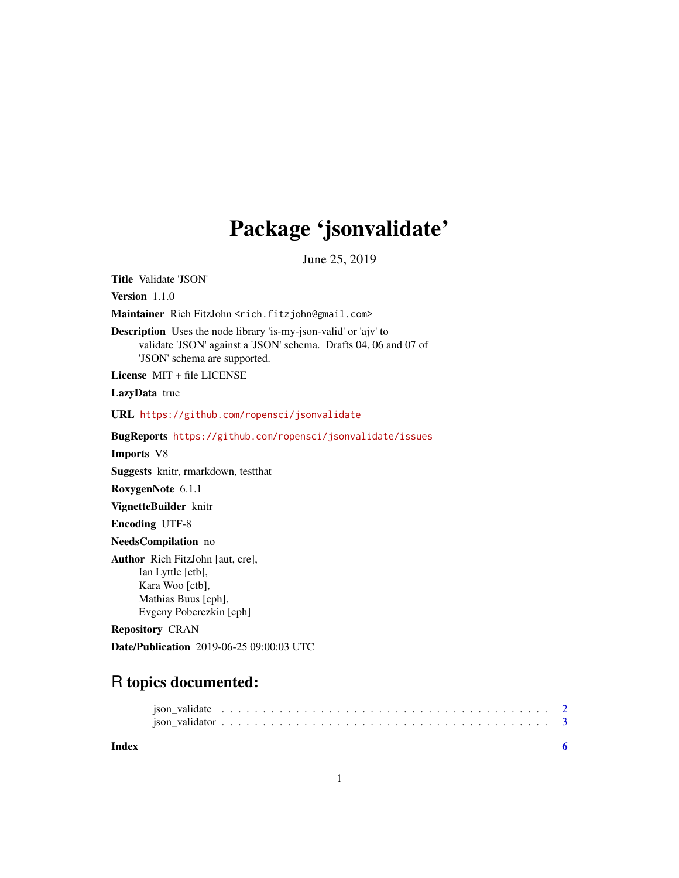# Package 'jsonvalidate'

June 25, 2019

Title Validate 'JSON' Version 1.1.0 Maintainer Rich FitzJohn <rich.fitzjohn@gmail.com> Description Uses the node library 'is-my-json-valid' or 'ajv' to validate 'JSON' against a 'JSON' schema. Drafts 04, 06 and 07 of 'JSON' schema are supported. License MIT + file LICENSE LazyData true URL <https://github.com/ropensci/jsonvalidate> BugReports <https://github.com/ropensci/jsonvalidate/issues> Imports V8 Suggests knitr, rmarkdown, testthat RoxygenNote 6.1.1 VignetteBuilder knitr Encoding UTF-8 NeedsCompilation no Author Rich FitzJohn [aut, cre], Ian Lyttle [ctb], Kara Woo [ctb], Mathias Buus [cph], Evgeny Poberezkin [cph] Repository CRAN

# R topics documented:

Date/Publication 2019-06-25 09:00:03 UTC

| Index |  |  |  |  |  |  |  |  |  |  |  |  |  |  |  |  |  |  |  |
|-------|--|--|--|--|--|--|--|--|--|--|--|--|--|--|--|--|--|--|--|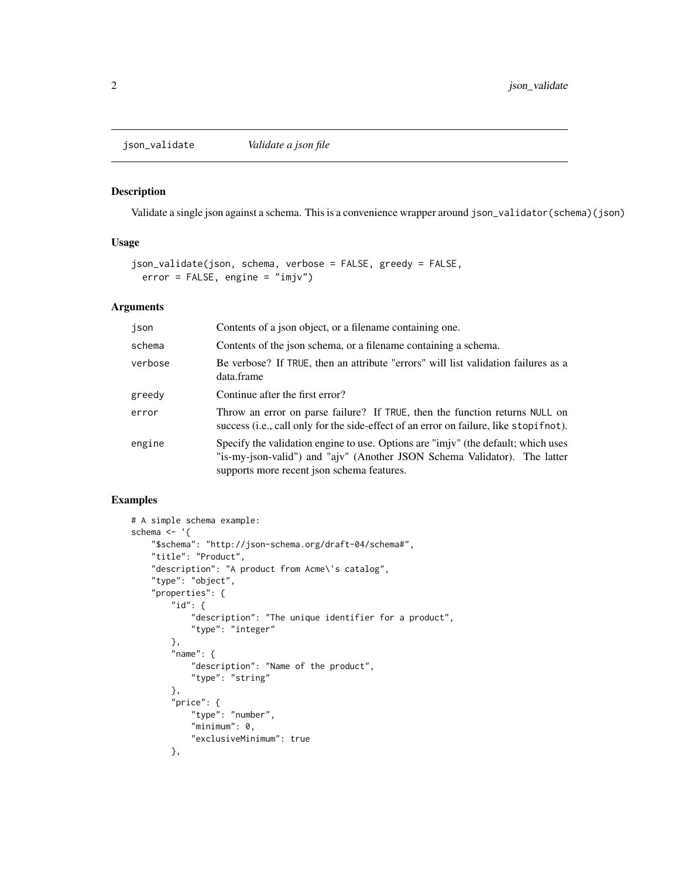<span id="page-1-0"></span>

#### Description

Validate a single json against a schema. This is a convenience wrapper around json\_validator(schema)(json)

#### Usage

```
json_validate(json, schema, verbose = FALSE, greedy = FALSE,
 error = FALSE, engine = "imjv")
```
#### Arguments

| json    | Contents of a json object, or a filename containing one.                                                                                                                                                     |
|---------|--------------------------------------------------------------------------------------------------------------------------------------------------------------------------------------------------------------|
| schema  | Contents of the json schema, or a filename containing a schema.                                                                                                                                              |
| verbose | Be verbose? If TRUE, then an attribute "errors" will list validation failures as a<br>data.frame                                                                                                             |
| greedy  | Continue after the first error?                                                                                                                                                                              |
| error   | Throw an error on parse failure? If TRUE, then the function returns NULL on<br>success (i.e., call only for the side-effect of an error on failure, like stopifult).                                         |
| engine  | Specify the validation engine to use. Options are "imjv" (the default; which uses<br>"is-my-json-valid") and "ajv" (Another JSON Schema Validator). The latter<br>supports more recent json schema features. |

## Examples

```
# A simple schema example:
schema <- '{
    "$schema": "http://json-schema.org/draft-04/schema#",
    "title": "Product",
    "description": "A product from Acme\'s catalog",
    "type": "object",
    "properties": {
        "id": f"description": "The unique identifier for a product",
            "type": "integer"
       },
        "name": {
            "description": "Name of the product",
            "type": "string"
       },
        "price": {
            "type": "number",
            "minimum": 0,
            "exclusiveMinimum": true
       },
```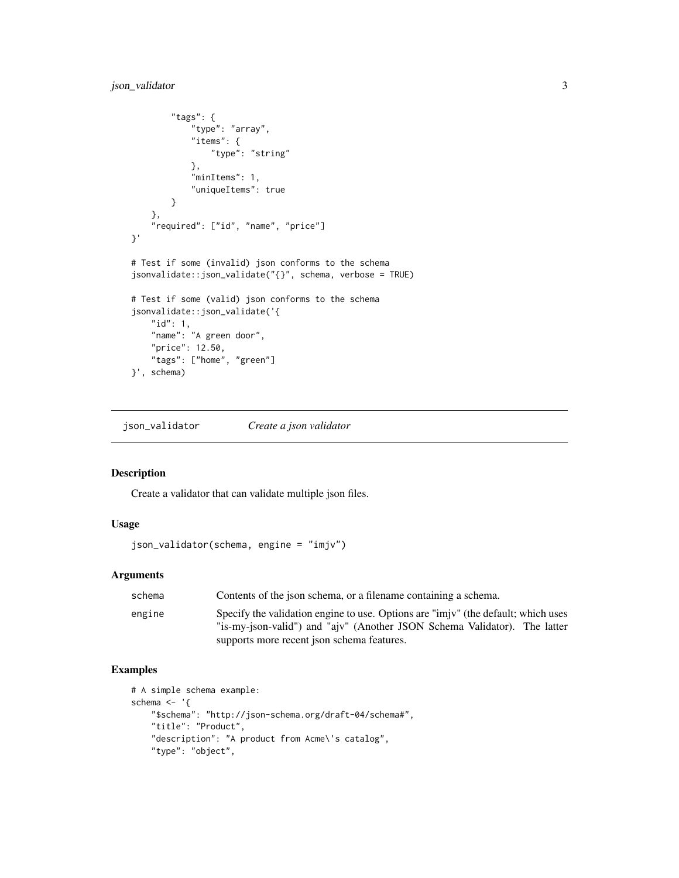## <span id="page-2-0"></span>json\_validator 3

```
"tags": {
            "type": "array",
            "items": {
                "type": "string"
            },
            "minItems": 1,
            "uniqueItems": true
       }
    },
    "required": ["id", "name", "price"]
}'
# Test if some (invalid) json conforms to the schema
jsonvalidate::json_validate("{}", schema, verbose = TRUE)
# Test if some (valid) json conforms to the schema
jsonvalidate::json_validate('{
    "id": 1,
    "name": "A green door",
    "price": 12.50,
    "tags": ["home", "green"]
}', schema)
```
json\_validator *Create a json validator*

#### Description

Create a validator that can validate multiple json files.

#### Usage

```
json_validator(schema, engine = "imjv")
```
## Arguments

| schema | Contents of the json schema, or a filename containing a schema.                                                                                                |
|--------|----------------------------------------------------------------------------------------------------------------------------------------------------------------|
| engine | Specify the validation engine to use. Options are "imjv" (the default; which uses<br>"is-my-json-valid") and "ajv" (Another JSON Schema Validator). The latter |
|        | supports more recent json schema features.                                                                                                                     |

#### Examples

```
# A simple schema example:
schema \leq - '{
   "$schema": "http://json-schema.org/draft-04/schema#",
    "title": "Product",
    "description": "A product from Acme\'s catalog",
    "type": "object",
```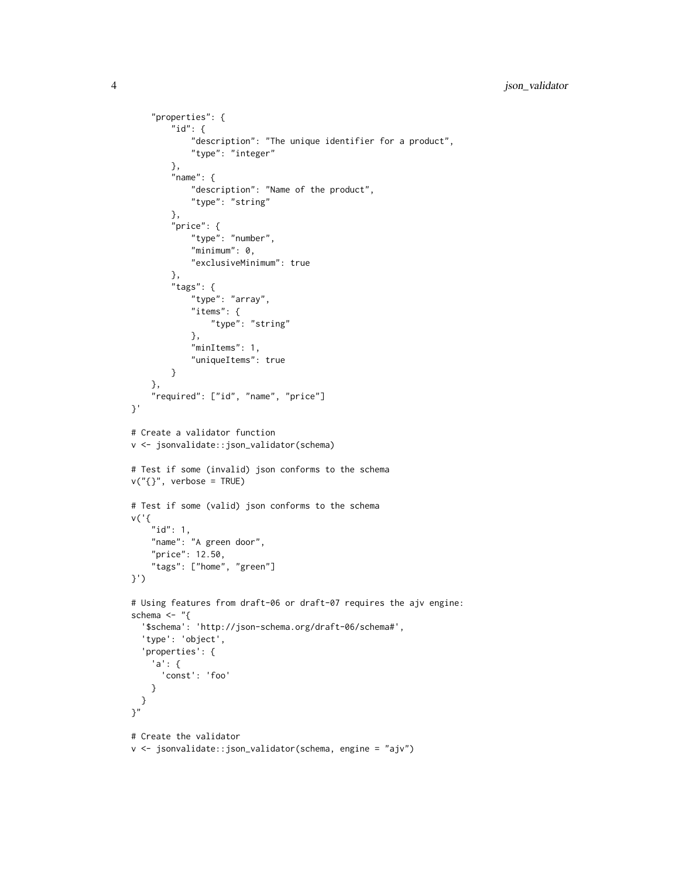```
"properties": {
        "id": {
            "description": "The unique identifier for a product",
            "type": "integer"
        },
        "name" : \{"description": "Name of the product",
            "type": "string"
        },
        "price": {
            "type": "number",
            "minimum": 0,"exclusiveMinimum": true
        },
        "tags": {
            "type": "array",
            "items": {
                "type": "string"
            },
            "minItems": 1,
            "uniqueItems": true
        }
    },
    "required": ["id", "name", "price"]
}'
# Create a validator function
v <- jsonvalidate::json_validator(schema)
# Test if some (invalid) json conforms to the schema
v("{}', verbose = TRUE)
# Test if some (valid) json conforms to the schema
v('{
    "id": 1,
    "name": "A green door",
    "price": 12.50,
    "tags": ["home", "green"]
}')
# Using features from draft-06 or draft-07 requires the ajv engine:
schema \leftarrow "{
  '$schema': 'http://json-schema.org/draft-06/schema#',
  'type': 'object',
  'properties': {
    'a': {
      'const': 'foo'
    }
 }
\gamma"
# Create the validator
v <- jsonvalidate::json_validator(schema, engine = "ajv")
```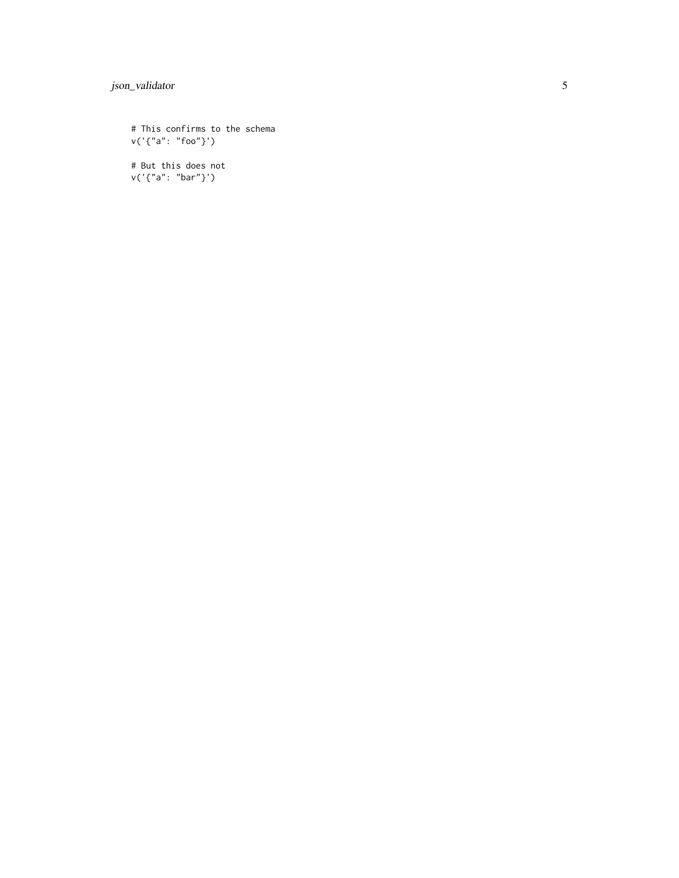# json\_validator

# This confirms to the schema v('{"a": "foo"}')

# But this does not v('{"a": "bar"}')